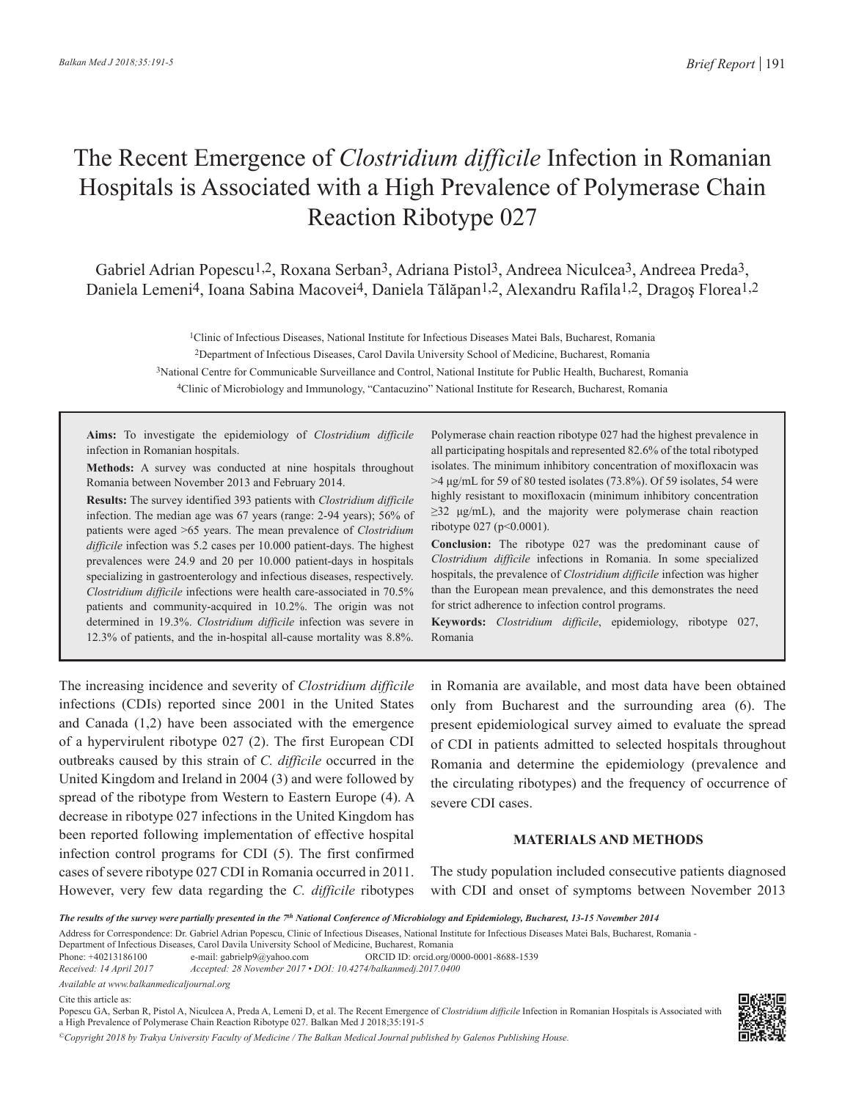# The Recent Emergence of *Clostridium difficile* Infection in Romanian Hospitals is Associated with a High Prevalence of Polymerase Chain Reaction Ribotype 027

Gabriel Adrian Popesc[u1,2,](https://orcid.org/0000-0001-8688-1539) Roxana Serban3, Adriana Pistol[3](https://orcid.org/0000-0002-7509-0616), Andreea Niculcea3, Andreea Preda3, Daniela Lemeni4, Ioana Sabina Macove[i4](https://orcid.org/0000-0002-9835-8531), Daniela Tălăpan1,2, Alexandru Rafila1,2, Dragoş Florea1,2

1Clinic of Infectious Diseases, National Institute for Infectious Diseases Matei Bals, Bucharest, Romania

2Department of Infectious Diseases, Carol Davila University School of Medicine, Bucharest, Romania

3National Centre for Communicable Surveillance and Control, National Institute for Public Health, Bucharest, Romania

4Clinic of Microbiology and Immunology, "Cantacuzino" National Institute for Research, Bucharest, Romania

**Aims:** To investigate the epidemiology of *Clostridium difficile* infection in Romanian hospitals.

**Methods:** A survey was conducted at nine hospitals throughout Romania between November 2013 and February 2014.

**Results:** The survey identified 393 patients with *Clostridium difficile* infection. The median age was 67 years (range: 2-94 years); 56% of patients were aged >65 years. The mean prevalence of *Clostridium difficile* infection was 5.2 cases per 10.000 patient-days. The highest prevalences were 24.9 and 20 per 10.000 patient-days in hospitals specializing in gastroenterology and infectious diseases, respectively. *Clostridium difficile* infections were health care-associated in 70.5% patients and community-acquired in 10.2%. The origin was not determined in 19.3%. *Clostridium difficile* infection was severe in 12.3% of patients, and the in-hospital all-cause mortality was 8.8%.

Polymerase chain reaction ribotype 027 had the highest prevalence in all participating hospitals and represented 82.6% of the total ribotyped isolates. The minimum inhibitory concentration of moxifloxacin was  $>4 \mu$ g/mL for 59 of 80 tested isolates (73.8%). Of 59 isolates, 54 were highly resistant to moxifloxacin (minimum inhibitory concentration  $\geq$ 32 μg/mL), and the majority were polymerase chain reaction ribotype 027 (p<0.0001).

**Conclusion:** The ribotype 027 was the predominant cause of *Clostridium difficile* infections in Romania. In some specialized hospitals, the prevalence of *Clostridium difficile* infection was higher than the European mean prevalence, and this demonstrates the need for strict adherence to infection control programs.

**Keywords:** *Clostridium difficile*, epidemiology, ribotype 027, Romania

The increasing incidence and severity of *Clostridium difficile* infections (CDIs) reported since 2001 in the United States and Canada (1,2) have been associated with the emergence of a hypervirulent ribotype 027 (2). The first European CDI outbreaks caused by this strain of *C. difficile* occurred in the United Kingdom and Ireland in 2004 (3) and were followed by spread of the ribotype from Western to Eastern Europe (4). A decrease in ribotype 027 infections in the United Kingdom has been reported following implementation of effective hospital infection control programs for CDI (5). The first confirmed cases of severe ribotype 027 CDI in Romania occurred in 2011. However, very few data regarding the *C. difficile* ribotypes in Romania are available, and most data have been obtained only from Bucharest and the surrounding area (6). The present epidemiological survey aimed to evaluate the spread of CDI in patients admitted to selected hospitals throughout Romania and determine the epidemiology (prevalence and the circulating ribotypes) and the frequency of occurrence of severe CDI cases.

## **MATERIALS AND METHODS**

The study population included consecutive patients diagnosed with CDI and onset of symptoms between November 2013

Department of Infectious Diseases, Carol Davila University School of Medicine, Bucharest, Romania

Phone: +40213186100 e-mail: gabrielp9@yahoo.com ORCID ID: orcid.org/0000-0001-8688-1539 *Received: 14 April 2017 Accepted: 28 November 2017 • DOI: 10.4274/balkanmedj.2017.0400*

*Available at www.balkanmedicaljournal.org*

Cite this article as:

Popescu GA, Serban R, Pistol A, Niculcea A, Preda A, Lemeni D, et al. The Recent Emergence of *Clostridium difficile* Infection in Romanian Hospitals is Associated with a High Prevalence of Polymerase Chain Reaction Ribotype 027. Balkan Med J 2018;35:191-5

*©Copyright 2018 by Trakya University Faculty of Medicine / The Balkan Medical Journal published by Galenos Publishing House.*



*The results of the survey were partially presented in the 7th National Conference of Microbiology and Epidemiology, Bucharest, 13-15 November 2014*

Address for Correspondence: Dr. Gabriel Adrian Popescu, Clinic of Infectious Diseases, National Institute for Infectious Diseases Matei Bals, Bucharest, Romania -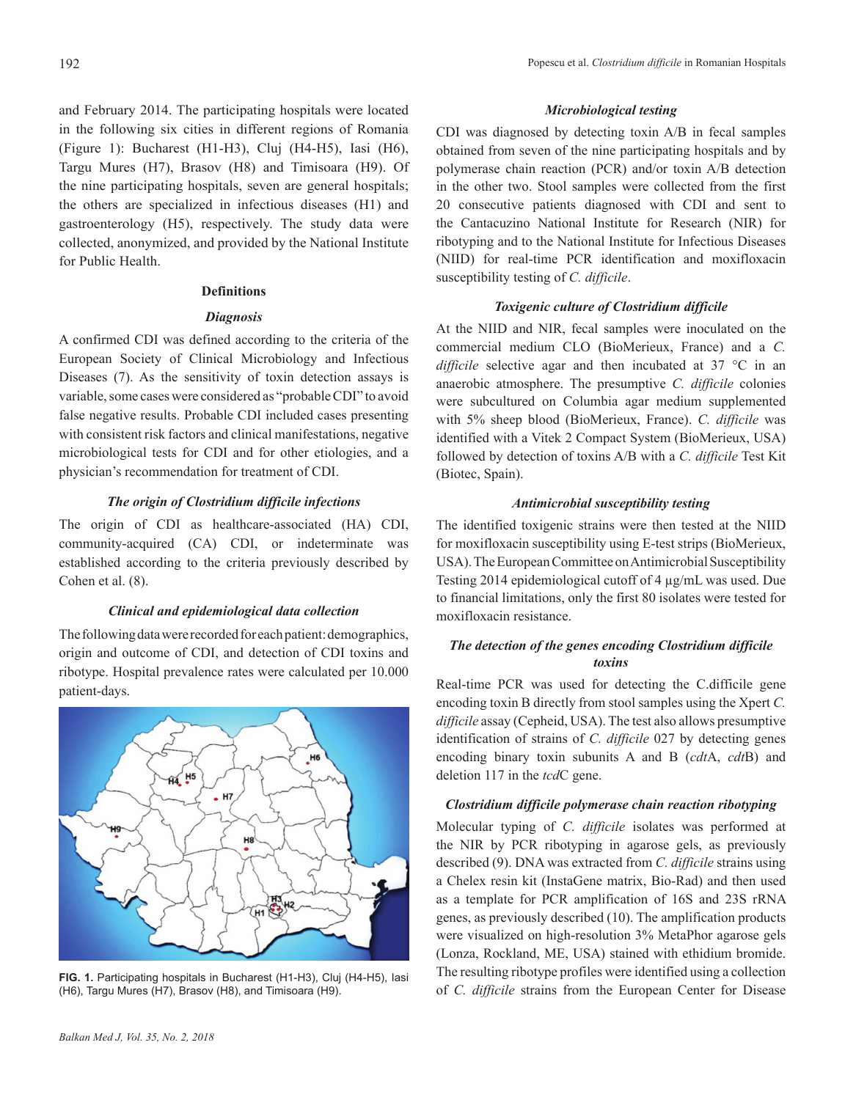and February 2014. The participating hospitals were located in the following six cities in different regions of Romania (Figure 1): Bucharest (H1-H3), Cluj (H4-H5), Iasi (H6), Targu Mures (H7), Brasov (H8) and Timisoara (H9). Of the nine participating hospitals, seven are general hospitals; the others are specialized in infectious diseases (H1) and gastroenterology (H5), respectively. The study data were collected, anonymized, and provided by the National Institute for Public Health.

## **Definitions**

# *Diagnosis*

A confirmed CDI was defined according to the criteria of the European Society of Clinical Microbiology and Infectious Diseases (7). As the sensitivity of toxin detection assays is variable, some cases were considered as "probable CDI" to avoid false negative results. Probable CDI included cases presenting with consistent risk factors and clinical manifestations, negative microbiological tests for CDI and for other etiologies, and a physician's recommendation for treatment of CDI.

# *The origin of Clostridium difficile infections*

The origin of CDI as healthcare-associated (HA) CDI, community-acquired (CA) CDI, or indeterminate was established according to the criteria previously described by Cohen et al. (8).

## *Clinical and epidemiological data collection*

The following data were recorded for each patient: demographics, origin and outcome of CDI, and detection of CDI toxins and ribotype. Hospital prevalence rates were calculated per 10.000 patient-days.



**FIG. 1.** Participating hospitals in Bucharest (H1-H3), Cluj (H4-H5), Iasi (H6), Targu Mures (H7), Brasov (H8), and Timisoara (H9).

# *Microbiological testing*

CDI was diagnosed by detecting toxin A/B in fecal samples obtained from seven of the nine participating hospitals and by polymerase chain reaction (PCR) and/or toxin A/B detection in the other two. Stool samples were collected from the first 20 consecutive patients diagnosed with CDI and sent to the Cantacuzino National Institute for Research (NIR) for ribotyping and to the National Institute for Infectious Diseases (NIID) for real-time PCR identification and moxifloxacin susceptibility testing of *C. difficile*.

# *Toxigenic culture of Clostridium difficile*

At the NIID and NIR, fecal samples were inoculated on the commercial medium CLO (BioMerieux, France) and a *C. difficile* selective agar and then incubated at 37 °C in an anaerobic atmosphere. The presumptive *C. difficile* colonies were subcultured on Columbia agar medium supplemented with 5% sheep blood (BioMerieux, France). *C. difficile* was identified with a Vitek 2 Compact System (BioMerieux, USA) followed by detection of toxins A/B with a *C. difficile* Test Kit (Biotec, Spain).

# *Antimicrobial susceptibility testing*

The identified toxigenic strains were then tested at the NIID for moxifloxacin susceptibility using E-test strips (BioMerieux, USA). The European Committee on Antimicrobial Susceptibility Testing 2014 epidemiological cutoff of 4 µg/mL was used. Due to financial limitations, only the first 80 isolates were tested for moxifloxacin resistance.

# *The detection of the genes encoding Clostridium difficile toxins*

Real-time PCR was used for detecting the C.difficile gene encoding toxin B directly from stool samples using the Xpert *C. difficile* assay (Cepheid, USA). The test also allows presumptive identification of strains of *C. difficile* 027 by detecting genes encoding binary toxin subunits A and B (*cdt*A, *cdt*B) and deletion 117 in the *tcd*C gene.

# *Clostridium difficile polymerase chain reaction ribotyping*

Molecular typing of *C. difficile* isolates was performed at the NIR by PCR ribotyping in agarose gels, as previously described (9). DNA was extracted from *C. difficile* strains using a Chelex resin kit (InstaGene matrix, Bio-Rad) and then used as a template for PCR amplification of 16S and 23S rRNA genes, as previously described (10). The amplification products were visualized on high-resolution 3% MetaPhor agarose gels (Lonza, Rockland, ME, USA) stained with ethidium bromide. The resulting ribotype profiles were identified using a collection of *C. difficile* strains from the European Center for Disease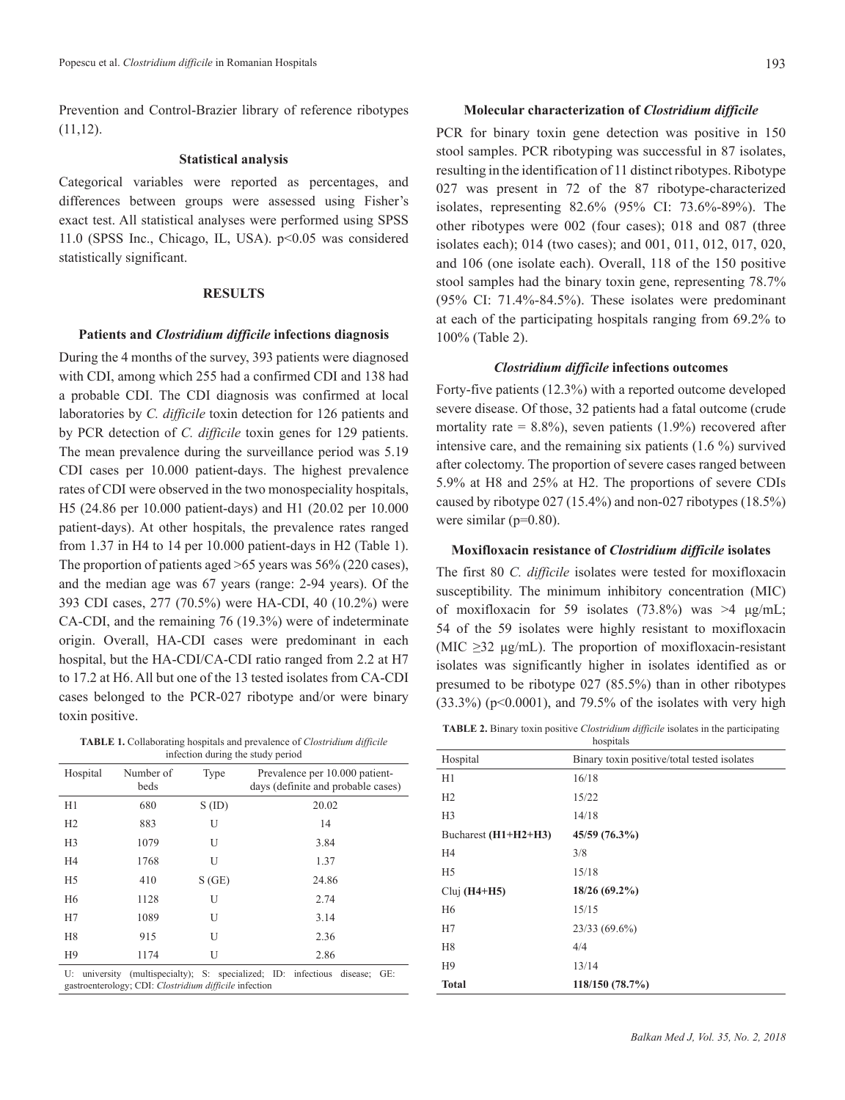Prevention and Control-Brazier library of reference ribotypes  $(11,12)$ .

#### **Statistical analysis**

Categorical variables were reported as percentages, and differences between groups were assessed using Fisher's exact test. All statistical analyses were performed using SPSS 11.0 (SPSS Inc., Chicago, IL, USA). p<0.05 was considered statistically significant.

#### **RESULTS**

#### **Patients and** *Clostridium difficile* **infections diagnosis**

During the 4 months of the survey, 393 patients were diagnosed with CDI, among which 255 had a confirmed CDI and 138 had a probable CDI. The CDI diagnosis was confirmed at local laboratories by *C. difficile* toxin detection for 126 patients and by PCR detection of *C. difficile* toxin genes for 129 patients. The mean prevalence during the surveillance period was 5.19 CDI cases per 10.000 patient-days. The highest prevalence rates of CDI were observed in the two monospeciality hospitals, H5 (24.86 per 10.000 patient-days) and H1 (20.02 per 10.000 patient-days). At other hospitals, the prevalence rates ranged from 1.37 in H4 to 14 per 10.000 patient-days in H2 (Table 1). The proportion of patients aged >65 years was 56% (220 cases), and the median age was 67 years (range: 2-94 years). Of the 393 CDI cases, 277 (70.5%) were HA-CDI, 40 (10.2%) were CA-CDI, and the remaining 76 (19.3%) were of indeterminate origin. Overall, HA-CDI cases were predominant in each hospital, but the HA-CDI/CA-CDI ratio ranged from 2.2 at H7 to 17.2 at H6. All but one of the 13 tested isolates from CA-CDI cases belonged to the PCR-027 ribotype and/or were binary toxin positive.

**TABLE 1.** Collaborating hospitals and prevalence of *Clostridium difficile* infection during the study period

| Hospital         | Number of<br>beds                                      | Type     | Prevalence per 10.000 patient-<br>days (definite and probable cases) |
|------------------|--------------------------------------------------------|----------|----------------------------------------------------------------------|
| H1               | 680                                                    | $S$ (ID) | 20.02                                                                |
| H2               | 883                                                    | U        | 14                                                                   |
| H <sub>3</sub>   | 1079                                                   | U        | 3.84                                                                 |
| H <sub>4</sub>   | 1768                                                   | U        | 1.37                                                                 |
| H <sub>5</sub>   | 410                                                    | S(GE)    | 24.86                                                                |
| H <sub>6</sub>   | 1128                                                   | U        | 2.74                                                                 |
| H7               | 1089                                                   | U        | 3.14                                                                 |
| H <sub>8</sub>   | 915                                                    | U        | 2.36                                                                 |
| H <sub>9</sub>   | 1174                                                   | U        | 2.86                                                                 |
| U:<br>university | gastroenterology; CDI: Clostridium difficile infection |          | (multispecialty); S: specialized; ID: infectious<br>disease; GE:     |

## **Molecular characterization of** *Clostridium difficile*

PCR for binary toxin gene detection was positive in 150 stool samples. PCR ribotyping was successful in 87 isolates, resulting in the identification of 11 distinct ribotypes. Ribotype 027 was present in 72 of the 87 ribotype-characterized isolates, representing 82.6% (95% CI: 73.6%-89%). The other ribotypes were 002 (four cases); 018 and 087 (three isolates each); 014 (two cases); and 001, 011, 012, 017, 020, and 106 (one isolate each). Overall, 118 of the 150 positive stool samples had the binary toxin gene, representing 78.7% (95% CI: 71.4%-84.5%). These isolates were predominant at each of the participating hospitals ranging from 69.2% to 100% (Table 2).

## *Clostridium difficile* **infections outcomes**

Forty-five patients (12.3%) with a reported outcome developed severe disease. Of those, 32 patients had a fatal outcome (crude mortality rate =  $8.8\%$ ), seven patients (1.9%) recovered after intensive care, and the remaining six patients (1.6 %) survived after colectomy. The proportion of severe cases ranged between 5.9% at H8 and 25% at H2. The proportions of severe CDIs caused by ribotype 027 (15.4%) and non-027 ribotypes (18.5%) were similar (p=0.80).

### **Moxifloxacin resistance of** *Clostridium difficile* **isolates**

The first 80 *C. difficile* isolates were tested for moxifloxacin susceptibility. The minimum inhibitory concentration (MIC) of moxifloxacin for 59 isolates (73.8%) was  $>4 \mu$ g/mL; 54 of the 59 isolates were highly resistant to moxifloxacin (MIC  $\geq$ 32 μg/mL). The proportion of moxifloxacin-resistant isolates was significantly higher in isolates identified as or presumed to be ribotype 027 (85.5%) than in other ribotypes  $(33.3\%)$  (p<0.0001), and 79.5% of the isolates with very high

**TABLE 2.** Binary toxin positive *Clostridium difficile* isolates in the participating

| hospitals            |                                             |  |  |
|----------------------|---------------------------------------------|--|--|
| Hospital             | Binary toxin positive/total tested isolates |  |  |
| H1                   | 16/18                                       |  |  |
| H2                   | 15/22                                       |  |  |
| H <sub>3</sub>       | 14/18                                       |  |  |
| Bucharest (H1+H2+H3) | 45/59 (76.3%)                               |  |  |
| H4                   | 3/8                                         |  |  |
| H <sub>5</sub>       | 15/18                                       |  |  |
| Cluj $(H4+H5)$       | $18/26(69.2\%)$                             |  |  |
| H6                   | 15/15                                       |  |  |
| H7                   | $23/33(69.6\%)$                             |  |  |
| H <sub>8</sub>       | 4/4                                         |  |  |
| H <sub>9</sub>       | 13/14                                       |  |  |
| <b>Total</b>         | 118/150 (78.7%)                             |  |  |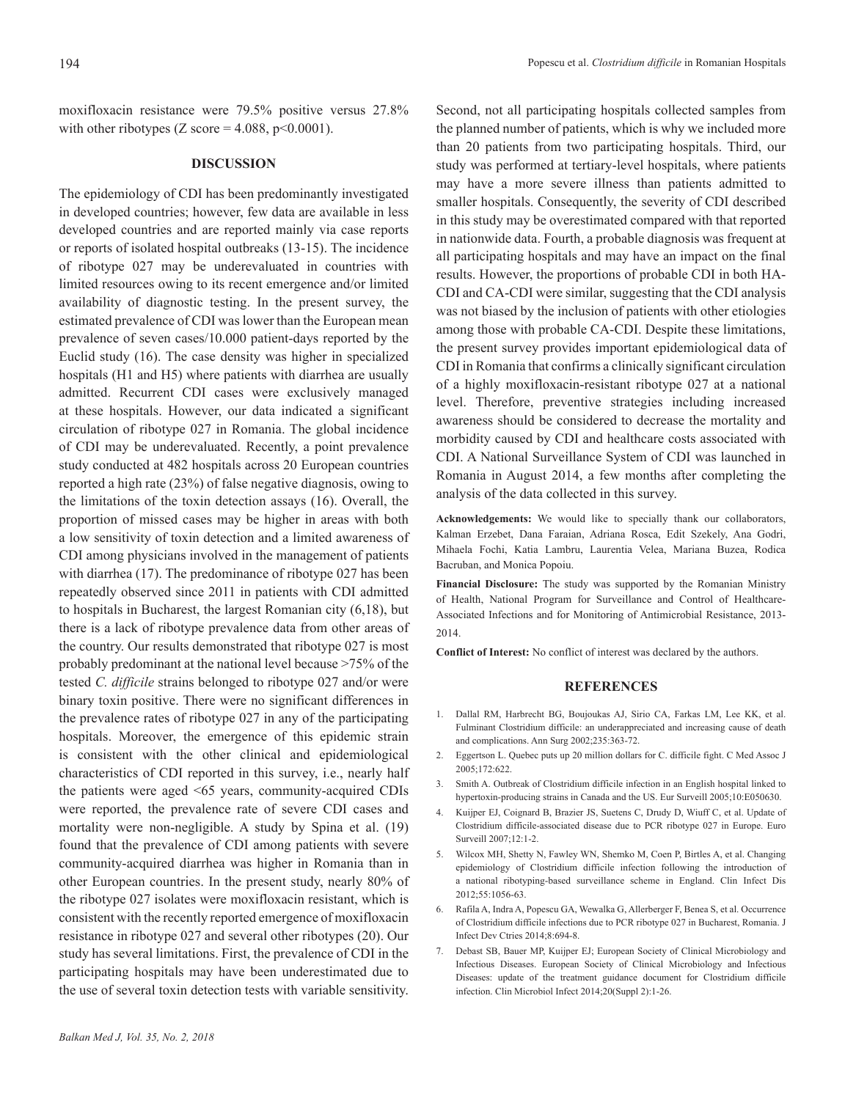moxifloxacin resistance were 79.5% positive versus 27.8% with other ribotypes  $(Z \text{ score} = 4.088, p \le 0.0001)$ .

#### **DISCUSSION**

The epidemiology of CDI has been predominantly investigated in developed countries; however, few data are available in less developed countries and are reported mainly via case reports or reports of isolated hospital outbreaks (13-15). The incidence of ribotype 027 may be underevaluated in countries with limited resources owing to its recent emergence and/or limited availability of diagnostic testing. In the present survey, the estimated prevalence of CDI was lower than the European mean prevalence of seven cases/10.000 patient-days reported by the Euclid study (16). The case density was higher in specialized hospitals (H1 and H5) where patients with diarrhea are usually admitted. Recurrent CDI cases were exclusively managed at these hospitals. However, our data indicated a significant circulation of ribotype 027 in Romania. The global incidence of CDI may be underevaluated. Recently, a point prevalence study conducted at 482 hospitals across 20 European countries reported a high rate (23%) of false negative diagnosis, owing to the limitations of the toxin detection assays (16). Overall, the proportion of missed cases may be higher in areas with both a low sensitivity of toxin detection and a limited awareness of CDI among physicians involved in the management of patients with diarrhea (17). The predominance of ribotype 027 has been repeatedly observed since 2011 in patients with CDI admitted to hospitals in Bucharest, the largest Romanian city (6,18), but there is a lack of ribotype prevalence data from other areas of the country. Our results demonstrated that ribotype 027 is most probably predominant at the national level because >75% of the tested *C. difficile* strains belonged to ribotype 027 and/or were binary toxin positive. There were no significant differences in the prevalence rates of ribotype 027 in any of the participating hospitals. Moreover, the emergence of this epidemic strain is consistent with the other clinical and epidemiological characteristics of CDI reported in this survey, i.e., nearly half the patients were aged <65 years, community-acquired CDIs were reported, the prevalence rate of severe CDI cases and mortality were non-negligible. A study by Spina et al. (19) found that the prevalence of CDI among patients with severe community-acquired diarrhea was higher in Romania than in other European countries. In the present study, nearly 80% of the ribotype 027 isolates were moxifloxacin resistant, which is consistent with the recently reported emergence of moxifloxacin resistance in ribotype 027 and several other ribotypes (20). Our study has several limitations. First, the prevalence of CDI in the participating hospitals may have been underestimated due to the use of several toxin detection tests with variable sensitivity.

Second, not all participating hospitals collected samples from the planned number of patients, which is why we included more than 20 patients from two participating hospitals. Third, our study was performed at tertiary-level hospitals, where patients may have a more severe illness than patients admitted to smaller hospitals. Consequently, the severity of CDI described in this study may be overestimated compared with that reported in nationwide data. Fourth, a probable diagnosis was frequent at all participating hospitals and may have an impact on the final results. However, the proportions of probable CDI in both HA-CDI and CA-CDI were similar, suggesting that the CDI analysis was not biased by the inclusion of patients with other etiologies among those with probable CA-CDI. Despite these limitations, the present survey provides important epidemiological data of CDI in Romania that confirms a clinically significant circulation of a highly moxifloxacin-resistant ribotype 027 at a national level. Therefore, preventive strategies including increased awareness should be considered to decrease the mortality and morbidity caused by CDI and healthcare costs associated with CDI. A National Surveillance System of CDI was launched in Romania in August 2014, a few months after completing the analysis of the data collected in this survey.

**Acknowledgements:** We would like to specially thank our collaborators, Kalman Erzebet, Dana Faraian, Adriana Rosca, Edit Szekely, Ana Godri, Mihaela Fochi, Katia Lambru, Laurentia Velea, Mariana Buzea, Rodica Bacruban, and Monica Popoiu.

**Financial Disclosure:** The study was supported by the Romanian Ministry of Health, National Program for Surveillance and Control of Healthcare-Associated Infections and for Monitoring of Antimicrobial Resistance, 2013- 2014.

**Conflict of Interest:** No conflict of interest was declared by the authors.

## **REFERENCES**

- 1. Dallal RM, Harbrecht BG, Boujoukas AJ, Sirio CA, Farkas LM, Lee KK, et al. Fulminant Clostridium difficile: an underappreciated and increasing cause of death and complications. Ann Surg 2002;235:363-72.
- 2. Eggertson L. Quebec puts up 20 million dollars for C. difficile fight. C Med Assoc J 2005;172:622.
- 3. Smith A. Outbreak of Clostridium difficile infection in an English hospital linked to hypertoxin-producing strains in Canada and the US. Eur Surveill 2005;10:E050630.
- 4. Kuijper EJ, Coignard B, Brazier JS, Suetens C, Drudy D, Wiuff C, et al. Update of Clostridium difficile-associated disease due to PCR ribotype 027 in Europe. Euro Surveill 2007;12:1-2.
- 5. Wilcox MH, Shetty N, Fawley WN, Shemko M, Coen P, Birtles A, et al. Changing epidemiology of Clostridium difficile infection following the introduction of a national ribotyping-based surveillance scheme in England. Clin Infect Dis 2012;55:1056-63.
- 6. Rafila A, Indra A, Popescu GA, Wewalka G, Allerberger F, Benea S, et al. Occurrence of Clostridium difficile infections due to PCR ribotype 027 in Bucharest, Romania. J Infect Dev Ctries 2014;8:694-8.
- 7. Debast SB, Bauer MP, Kuijper EJ; European Society of Clinical Microbiology and Infectious Diseases. European Society of Clinical Microbiology and Infectious Diseases: update of the treatment guidance document for Clostridium difficile infection. Clin Microbiol Infect 2014;20(Suppl 2):1-26.